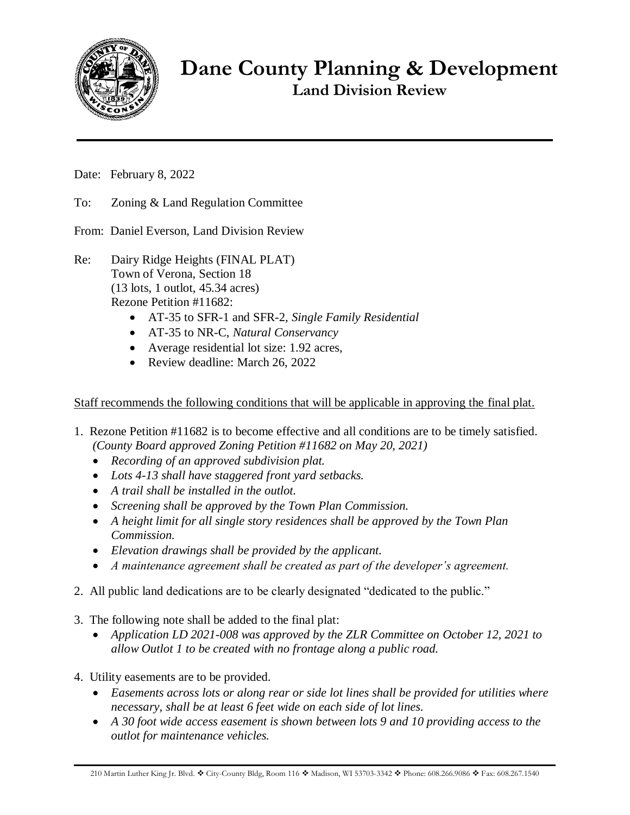

**Dane County Planning & Development Land Division Review**

Date: February 8, 2022

- To: Zoning & Land Regulation Committee
- From: Daniel Everson, Land Division Review
- Re: Dairy Ridge Heights (FINAL PLAT) Town of Verona, Section 18 (13 lots, 1 outlot, 45.34 acres) Rezone Petition #11682:
	- AT-35 to SFR-1 and SFR-2, *Single Family Residential*
	- AT-35 to NR-C, *Natural Conservancy*
	- Average residential lot size: 1.92 acres,
	- Review deadline: March 26, 2022

Staff recommends the following conditions that will be applicable in approving the final plat.

- 1. Rezone Petition #11682 is to become effective and all conditions are to be timely satisfied. *(County Board approved Zoning Petition #11682 on May 20, 2021)*
	- *Recording of an approved subdivision plat.*
	- *Lots 4-13 shall have staggered front yard setbacks.*
	- *A trail shall be installed in the outlot.*
	- *Screening shall be approved by the Town Plan Commission.*
	- *A height limit for all single story residences shall be approved by the Town Plan Commission.*
	- *Elevation drawings shall be provided by the applicant.*
	- *A maintenance agreement shall be created as part of the developer's agreement.*
- 2. All public land dedications are to be clearly designated "dedicated to the public."
- 3. The following note shall be added to the final plat:
	- *Application LD 2021-008 was approved by the ZLR Committee on October 12, 2021 to allow Outlot 1 to be created with no frontage along a public road.*
- 4. Utility easements are to be provided.
	- *Easements across lots or along rear or side lot lines shall be provided for utilities where necessary, shall be at least 6 feet wide on each side of lot lines.*
	- *A 30 foot wide access easement is shown between lots 9 and 10 providing access to the outlot for maintenance vehicles.*